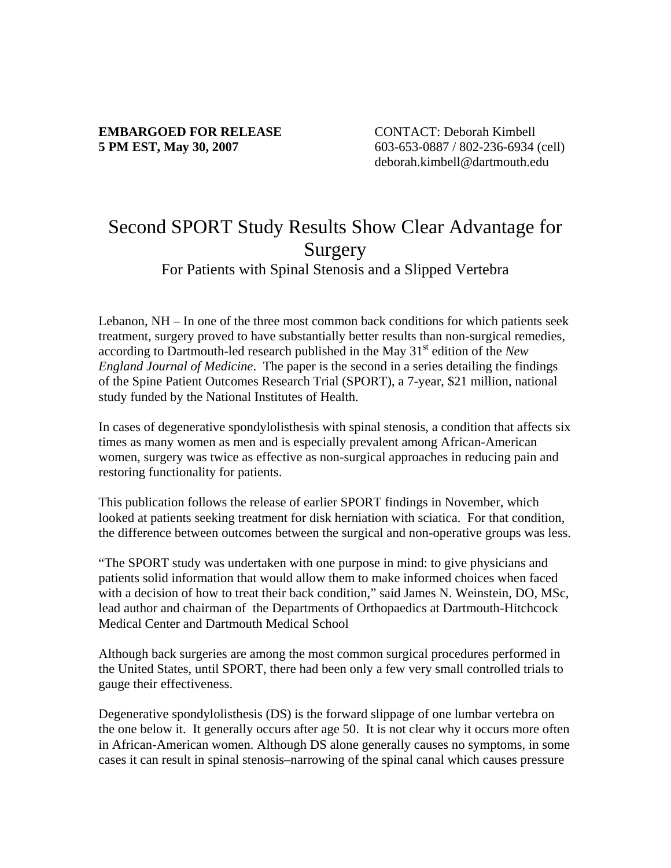## **EMBARGOED FOR RELEASE** CONTACT: Deborah Kimbell

**5 PM EST, May 30, 2007** 603-653-0887 / 802-236-6934 (cell) deborah.kimbell@dartmouth.edu

## Second SPORT Study Results Show Clear Advantage for **Surgery**

For Patients with Spinal Stenosis and a Slipped Vertebra

Lebanon, NH – In one of the three most common back conditions for which patients seek treatment, surgery proved to have substantially better results than non-surgical remedies, according to Dartmouth-led research published in the May 31st edition of the *New England Journal of Medicine*. The paper is the second in a series detailing the findings of the Spine Patient Outcomes Research Trial (SPORT), a 7-year, \$21 million, national study funded by the National Institutes of Health.

In cases of degenerative spondylolisthesis with spinal stenosis, a condition that affects six times as many women as men and is especially prevalent among African-American women, surgery was twice as effective as non-surgical approaches in reducing pain and restoring functionality for patients.

This publication follows the release of earlier SPORT findings in November, which looked at patients seeking treatment for disk herniation with sciatica. For that condition, the difference between outcomes between the surgical and non-operative groups was less.

"The SPORT study was undertaken with one purpose in mind: to give physicians and patients solid information that would allow them to make informed choices when faced with a decision of how to treat their back condition," said James N. Weinstein, DO, MSc, lead author and chairman of the Departments of Orthopaedics at Dartmouth-Hitchcock Medical Center and Dartmouth Medical School

Although back surgeries are among the most common surgical procedures performed in the United States, until SPORT, there had been only a few very small controlled trials to gauge their effectiveness.

Degenerative spondylolisthesis (DS) is the forward slippage of one lumbar vertebra on the one below it. It generally occurs after age 50. It is not clear why it occurs more often in African-American women. Although DS alone generally causes no symptoms, in some cases it can result in spinal stenosis–narrowing of the spinal canal which causes pressure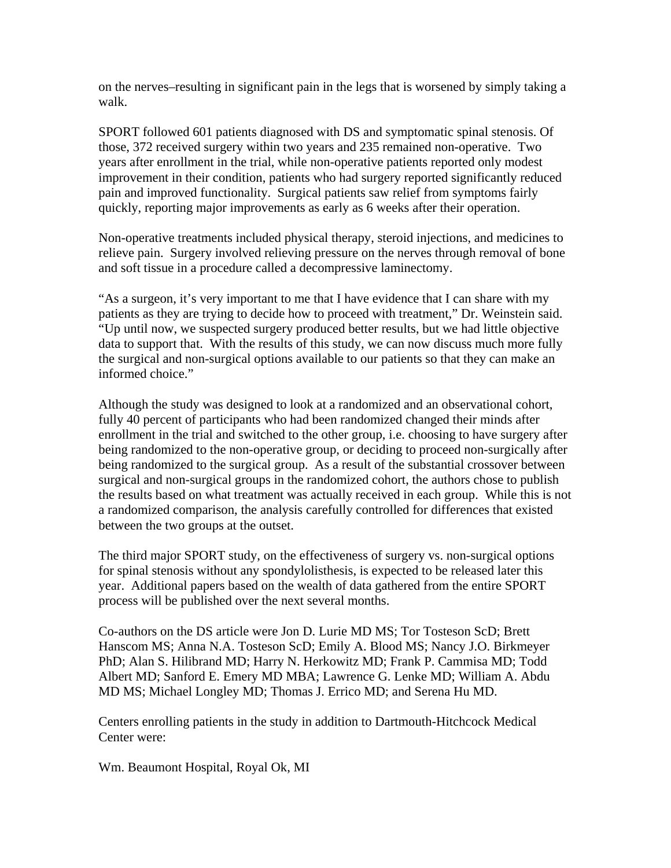on the nerves–resulting in significant pain in the legs that is worsened by simply taking a walk.

SPORT followed 601 patients diagnosed with DS and symptomatic spinal stenosis. Of those, 372 received surgery within two years and 235 remained non-operative. Two years after enrollment in the trial, while non-operative patients reported only modest improvement in their condition, patients who had surgery reported significantly reduced pain and improved functionality. Surgical patients saw relief from symptoms fairly quickly, reporting major improvements as early as 6 weeks after their operation.

Non-operative treatments included physical therapy, steroid injections, and medicines to relieve pain. Surgery involved relieving pressure on the nerves through removal of bone and soft tissue in a procedure called a decompressive laminectomy.

"As a surgeon, it's very important to me that I have evidence that I can share with my patients as they are trying to decide how to proceed with treatment," Dr. Weinstein said. "Up until now, we suspected surgery produced better results, but we had little objective data to support that. With the results of this study, we can now discuss much more fully the surgical and non-surgical options available to our patients so that they can make an informed choice."

Although the study was designed to look at a randomized and an observational cohort, fully 40 percent of participants who had been randomized changed their minds after enrollment in the trial and switched to the other group, i.e. choosing to have surgery after being randomized to the non-operative group, or deciding to proceed non-surgically after being randomized to the surgical group. As a result of the substantial crossover between surgical and non-surgical groups in the randomized cohort, the authors chose to publish the results based on what treatment was actually received in each group. While this is not a randomized comparison, the analysis carefully controlled for differences that existed between the two groups at the outset.

The third major SPORT study, on the effectiveness of surgery vs. non-surgical options for spinal stenosis without any spondylolisthesis, is expected to be released later this year. Additional papers based on the wealth of data gathered from the entire SPORT process will be published over the next several months.

Co-authors on the DS article were Jon D. Lurie MD MS; Tor Tosteson ScD; Brett Hanscom MS; Anna N.A. Tosteson ScD; Emily A. Blood MS; Nancy J.O. Birkmeyer PhD; Alan S. Hilibrand MD; Harry N. Herkowitz MD; Frank P. Cammisa MD; Todd Albert MD; Sanford E. Emery MD MBA; Lawrence G. Lenke MD; William A. Abdu MD MS; Michael Longley MD; Thomas J. Errico MD; and Serena Hu MD.

Centers enrolling patients in the study in addition to Dartmouth-Hitchcock Medical Center were:

Wm. Beaumont Hospital, Royal Ok, MI